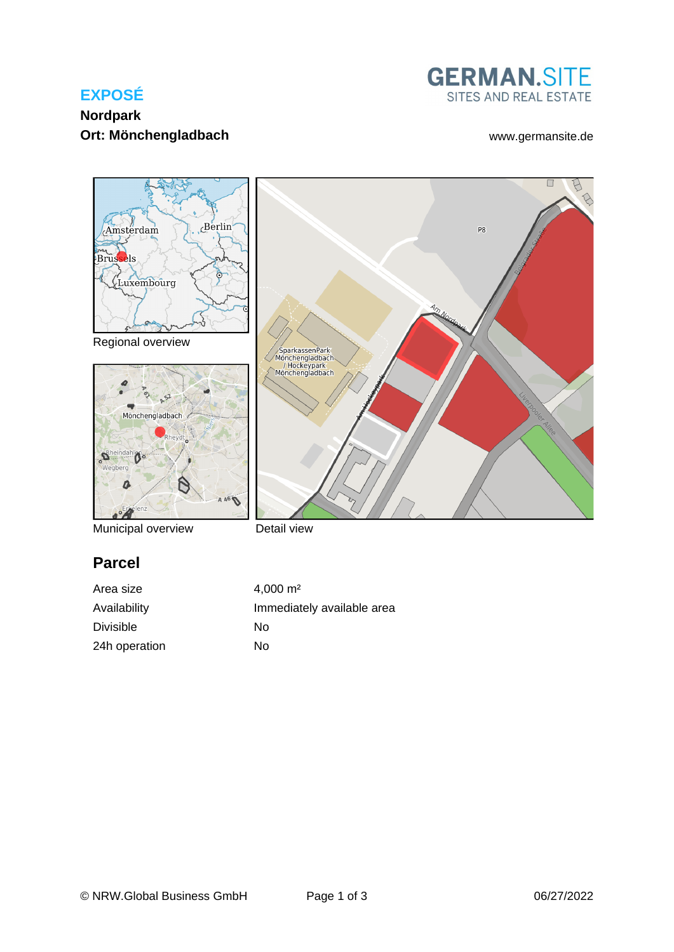# **EXPOSÉ**

## **Nordpark Ort: Mönchengladbach** [www.germansite.de](http://www.germansite.de)





Municipal overview

Detail view

## **Parcel**

Area size 4,000 m<sup>2</sup> Availability **Immediately** available area Divisible No 24h operation No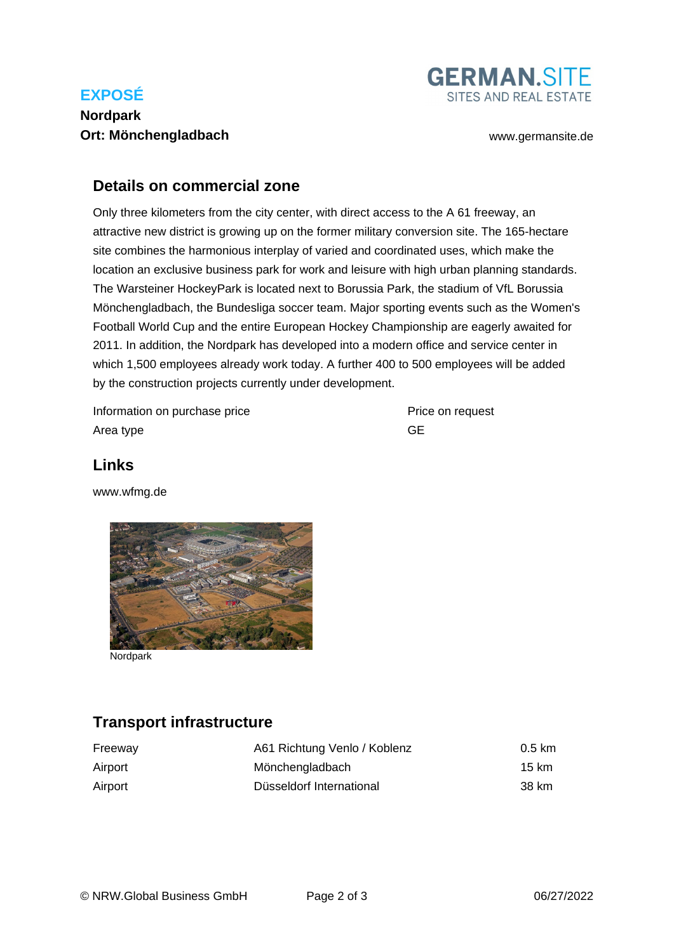# **EXPOSÉ**

# **Nordpark Ort: Mönchengladbach** [www.germansite.de](http://www.germansite.de)



### **Details on commercial zone**

Only three kilometers from the city center, with direct access to the A 61 freeway, an attractive new district is growing up on the former military conversion site. The 165-hectare site combines the harmonious interplay of varied and coordinated uses, which make the location an exclusive business park for work and leisure with high urban planning standards. The Warsteiner HockeyPark is located next to Borussia Park, the stadium of VfL Borussia Mönchengladbach, the Bundesliga soccer team. Major sporting events such as the Women's Football World Cup and the entire European Hockey Championship are eagerly awaited for 2011. In addition, the Nordpark has developed into a modern office and service center in which 1,500 employees already work today. A further 400 to 500 employees will be added by the construction projects currently under development.

Information on purchase price **Price Constant Price on request** Area type GE

## **Links**

[www.wfmg.de](http://www.wfmg.de)



**Nordpark** 

## **Transport infrastructure**

| Freeway | A61 Richtung Venlo / Koblenz | $0.5 \text{ km}$ |
|---------|------------------------------|------------------|
| Airport | Mönchengladbach              | 15 km            |
| Airport | Düsseldorf International     | 38 km            |